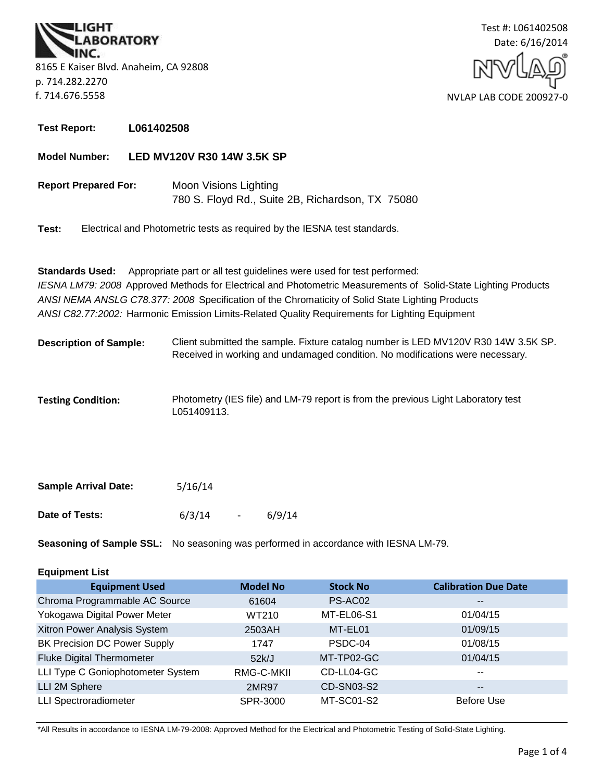**BORATORY** 8165 E Kaiser Blvd. Anaheim, CA 92808 p. 714.282.2270 f. 714.676.5558



**Test Report: L061402508**

**Model Number: LED MV120V R30 14W 3.5K SP**

**Report Prepared For:** Moon Visions Lighting 780 S. Floyd Rd., Suite 2B, Richardson, TX 75080

**Test:** Electrical and Photometric tests as required by the IESNA test standards.

**Standards Used:** Appropriate part or all test guidelines were used for test performed: *IESNA LM79: 2008* Approved Methods for Electrical and Photometric Measurements of Solid-State Lighting Products *ANSI NEMA ANSLG C78.377: 2008* Specification of the Chromaticity of Solid State Lighting Products *ANSI C82.77:2002:* Harmonic Emission Limits-Related Quality Requirements for Lighting Equipment

- **Description of Sample:** Client submitted the sample. Fixture catalog number is LED MV120V R30 14W 3.5K SP. Received in working and undamaged condition. No modifications were necessary.
- **Testing Condition:** Photometry (IES file) and LM-79 report is from the previous Light Laboratory test L051409113.

| <b>Sample Arrival Date:</b> | 5/16/14 |        |
|-----------------------------|---------|--------|
| Date of Tests:              | 6/3/14  | 6/9/14 |

**Seasoning of Sample SSL:** No seasoning was performed in accordance with IESNA LM-79.

## **Equipment List**

| <b>Equipment Used</b>               | <b>Model No</b> | <b>Stock No</b>   | <b>Calibration Due Date</b> |
|-------------------------------------|-----------------|-------------------|-----------------------------|
| Chroma Programmable AC Source       | 61604           | PS-AC02           | $\overline{\phantom{m}}$    |
| Yokogawa Digital Power Meter        | WT210           | MT-EL06-S1        | 01/04/15                    |
| Xitron Power Analysis System        | 2503AH          | MT-EL01           | 01/09/15                    |
| <b>BK Precision DC Power Supply</b> | 1747            | PSDC-04           | 01/08/15                    |
| <b>Fluke Digital Thermometer</b>    | 52k/J           | MT-TP02-GC        | 01/04/15                    |
| LLI Type C Goniophotometer System   | RMG-C-MKII      | CD-LL04-GC        | $- -$                       |
| LLI 2M Sphere                       | 2MR97           | <b>CD-SN03-S2</b> | $\overline{\phantom{m}}$    |
| <b>LLI Spectroradiometer</b>        | SPR-3000        | MT-SC01-S2        | <b>Before Use</b>           |

\*All Results in accordance to IESNA LM-79-2008: Approved Method for the Electrical and Photometric Testing of Solid-State Lighting.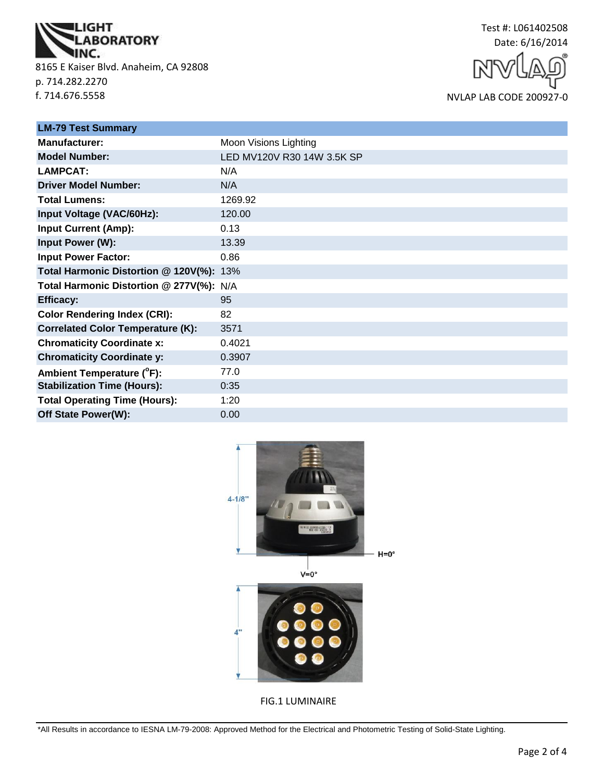

8165 E Kaiser Blvd. Anaheim, CA 92808 p. 714.282.2270 f. 714.676.5558



NVLAP LAB CODE 200927-0

| <b>LM-79 Test Summary</b>                |                            |
|------------------------------------------|----------------------------|
| <b>Manufacturer:</b>                     | Moon Visions Lighting      |
| <b>Model Number:</b>                     | LED MV120V R30 14W 3.5K SP |
| <b>LAMPCAT:</b>                          | N/A                        |
| <b>Driver Model Number:</b>              | N/A                        |
| <b>Total Lumens:</b>                     | 1269.92                    |
| Input Voltage (VAC/60Hz):                | 120.00                     |
| <b>Input Current (Amp):</b>              | 0.13                       |
| Input Power (W):                         | 13.39                      |
| <b>Input Power Factor:</b>               | 0.86                       |
| Total Harmonic Distortion @ 120V(%): 13% |                            |
| Total Harmonic Distortion @ 277V(%): N/A |                            |
| <b>Efficacy:</b>                         | 95                         |
| <b>Color Rendering Index (CRI):</b>      | 82                         |
| <b>Correlated Color Temperature (K):</b> | 3571                       |
| <b>Chromaticity Coordinate x:</b>        | 0.4021                     |
| <b>Chromaticity Coordinate y:</b>        | 0.3907                     |
| Ambient Temperature (°F):                | 77.0                       |
| <b>Stabilization Time (Hours):</b>       | 0:35                       |
| <b>Total Operating Time (Hours):</b>     | 1:20                       |
| Off State Power(W):                      | 0.00                       |



FIG.1 LUMINAIRE

\*All Results in accordance to IESNA LM-79-2008: Approved Method for the Electrical and Photometric Testing of Solid-State Lighting.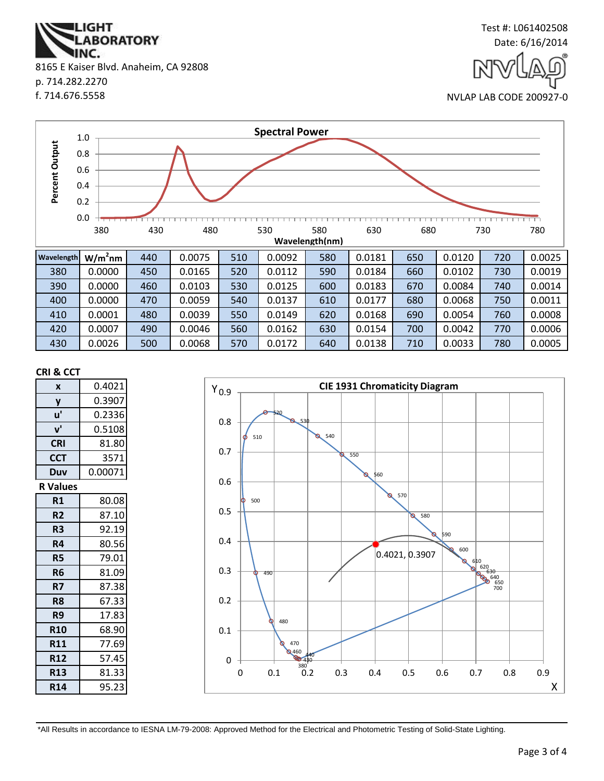\*All Results in accordance to IESNA LM-79-2008: Approved Method for the Electrical and Photometric Testing of Solid-State Lighting.



**CRI & CCT**

**x** 0.4021



| ∸∙∽<br>Percent Output<br>0.8<br>0.6<br>0.4<br>0.2                                    |           |     |        |     |        |     |        |     |        |     |        |
|--------------------------------------------------------------------------------------|-----------|-----|--------|-----|--------|-----|--------|-----|--------|-----|--------|
| 0.0<br>380<br>430<br>480<br>530<br>580<br>630<br>680<br>730<br>780<br>Wavelength(nm) |           |     |        |     |        |     |        |     |        |     |        |
| Wavelength                                                                           | $W/m2$ nm | 440 | 0.0075 | 510 | 0.0092 | 580 | 0.0181 | 650 | 0.0120 | 720 | 0.0025 |
| 380                                                                                  | 0.0000    | 450 | 0.0165 | 520 | 0.0112 | 590 | 0.0184 | 660 | 0.0102 | 730 | 0.0019 |
| 390                                                                                  | 0.0000    | 460 | 0.0103 | 530 | 0.0125 | 600 | 0.0183 | 670 | 0.0084 | 740 | 0.0014 |
| 400                                                                                  | 0.0000    | 470 | 0.0059 | 540 | 0.0137 | 610 | 0.0177 | 680 | 0.0068 | 750 | 0.0011 |
| 410                                                                                  | 0.0001    | 480 | 0.0039 | 550 | 0.0149 | 620 | 0.0168 | 690 | 0.0054 | 760 | 0.0008 |
| 420                                                                                  | 0.0007    | 490 | 0.0046 | 560 | 0.0162 | 630 | 0.0154 | 700 | 0.0042 | 770 | 0.0006 |
| 430                                                                                  | 0.0026    | 500 | 0.0068 | 570 | 0.0172 | 640 | 0.0138 | 710 | 0.0033 | 780 | 0.0005 |

**Spectral Power**

f. 714.676.5558

0.6 0.8 1.0

## .IGHT **ABORATORY** INC. 8165 E Kaiser Blvd. Anaheim, CA 92808 p. 714.282.2270

Test #: L061402508 Date: 6/16/2014

NVLAP LAB CODE 200927-0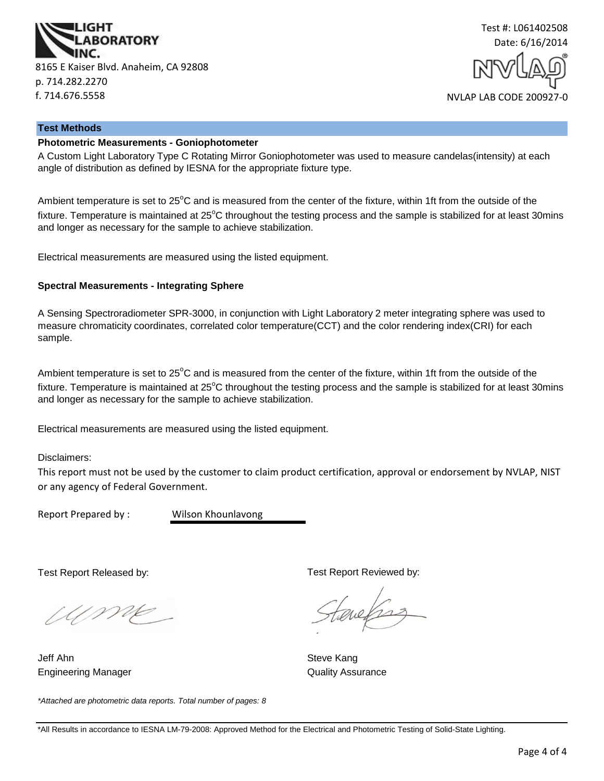



#### **Test Methods**

## **Photometric Measurements - Goniophotometer**

A Custom Light Laboratory Type C Rotating Mirror Goniophotometer was used to measure candelas(intensity) at each angle of distribution as defined by IESNA for the appropriate fixture type.

Ambient temperature is set to  $25^{\circ}$ C and is measured from the center of the fixture, within 1ft from the outside of the fixture. Temperature is maintained at  $25^{\circ}$ C throughout the testing process and the sample is stabilized for at least 30mins and longer as necessary for the sample to achieve stabilization.

Electrical measurements are measured using the listed equipment.

#### **Spectral Measurements - Integrating Sphere**

A Sensing Spectroradiometer SPR-3000, in conjunction with Light Laboratory 2 meter integrating sphere was used to measure chromaticity coordinates, correlated color temperature(CCT) and the color rendering index(CRI) for each sample.

Ambient temperature is set to  $25^{\circ}$ C and is measured from the center of the fixture, within 1ft from the outside of the fixture. Temperature is maintained at  $25^{\circ}$ C throughout the testing process and the sample is stabilized for at least 30mins and longer as necessary for the sample to achieve stabilization.

Electrical measurements are measured using the listed equipment.

Disclaimers:

This report must not be used by the customer to claim product certification, approval or endorsement by NVLAP, NIST or any agency of Federal Government.

Report Prepared by : Wilson Khounlavong

Test Report Released by:

UME

Jeff Ahn Steve Kang Engineering Manager **Contract Contract Contract Contract Contract Contract Contract Contract Contract Contract Contract Contract Contract Contract Contract Contract Contract Contract Contract Contract Contract Contract Con** 

*\*Attached are photometric data reports. Total number of pages: 8*

Test Report Reviewed by:

quels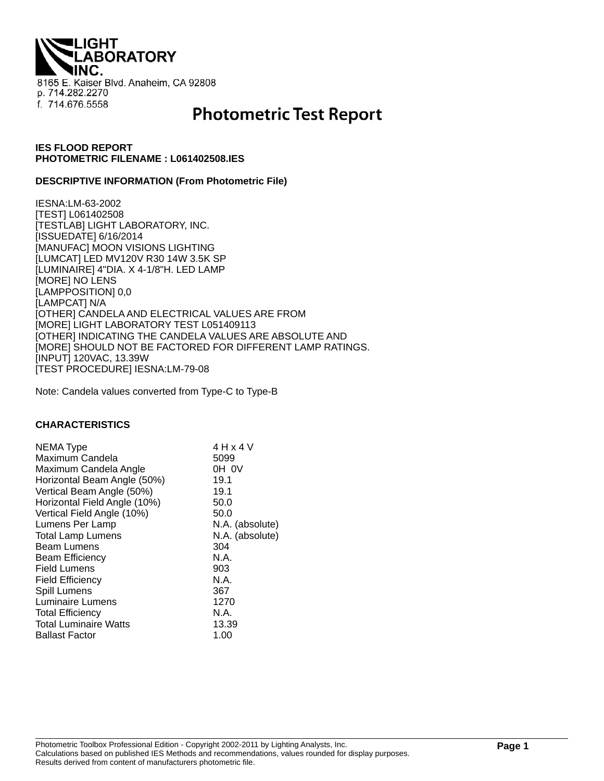**THQI. ABORATORY** 8165 E. Kaiser Blvd. Anaheim, CA 92808 p. 714.282.2270 f. 714.676.5558

# **Photometric Test Report**

## **IES FLOOD REPORT PHOTOMETRIC FILENAME : L061402508.IES**

#### **DESCRIPTIVE INFORMATION (From Photometric File)**

IESNA:LM-63-2002 [TEST] L061402508 [TESTLAB] LIGHT LABORATORY, INC. [ISSUEDATE] 6/16/2014 [MANUFAC] MOON VISIONS LIGHTING [LUMCAT] LED MV120V R30 14W 3.5K SP [LUMINAIRE] 4"DIA. X 4-1/8"H. LED LAMP [MORE] NO LENS [LAMPPOSITION] 0,0 [LAMPCAT] N/A [OTHER] CANDELA AND ELECTRICAL VALUES ARE FROM [MORE] LIGHT LABORATORY TEST L051409113 [OTHER] INDICATING THE CANDELA VALUES ARE ABSOLUTE AND [MORE] SHOULD NOT BE FACTORED FOR DIFFERENT LAMP RATINGS. [INPUT] 120VAC, 13.39W [TEST PROCEDURE] IESNA:LM-79-08

Note: Candela values converted from Type-C to Type-B

#### **CHARACTERISTICS**

| 4 H x 4 V       |
|-----------------|
| 5099            |
| OH OV           |
| 19.1            |
| 19.1            |
| 50.0            |
| 50.0            |
| N.A. (absolute) |
| N.A. (absolute) |
| 304             |
| N.A.            |
| 903             |
| N.A.            |
| 367             |
| 1270            |
| N.A.            |
| 13.39           |
| 1.00            |
|                 |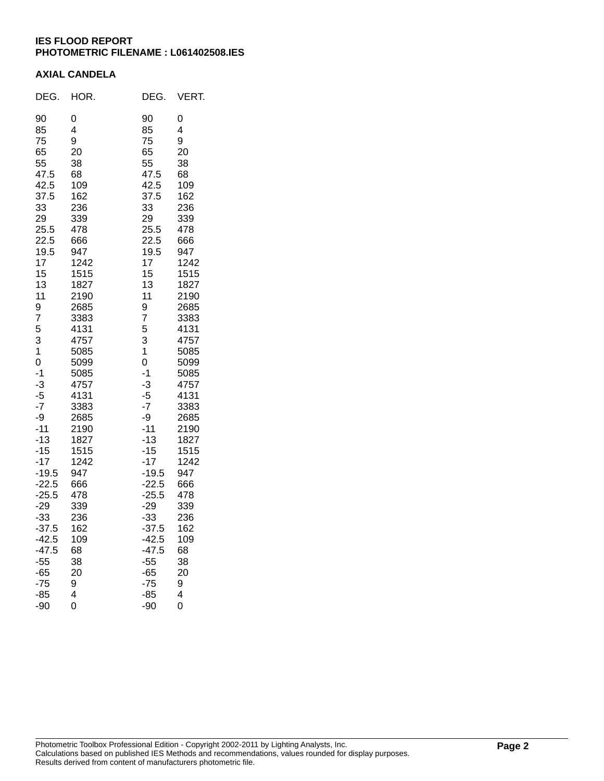## **IES FLOOD REPORT PHOTOMETRIC FILENAME : L061402508.IES**

## **AXIAL CANDELA**

| DEG.                                                                                                                                                                                                                                                                                                                                   | HOR.                                                                                                                                                                                                                                                                                                      | DEG.                                                                                                                                                                                                                                                                                                                                   | VERT.                                                                                                                                                                                                                                                                                                     |
|----------------------------------------------------------------------------------------------------------------------------------------------------------------------------------------------------------------------------------------------------------------------------------------------------------------------------------------|-----------------------------------------------------------------------------------------------------------------------------------------------------------------------------------------------------------------------------------------------------------------------------------------------------------|----------------------------------------------------------------------------------------------------------------------------------------------------------------------------------------------------------------------------------------------------------------------------------------------------------------------------------------|-----------------------------------------------------------------------------------------------------------------------------------------------------------------------------------------------------------------------------------------------------------------------------------------------------------|
| 90<br>85<br>75<br>65<br>55<br>47.5<br>42.5<br>37.5<br>33<br>29<br>25.5<br>22.5<br>19.5<br>17<br>15<br>13<br>11<br>9<br>7<br>5<br>3<br>$\mathbf 1$<br>0<br>$-1$<br>$-3$<br>$-5$<br>$-7$<br>-9<br>$-11$<br>$-13$<br>$-15$<br>$-17$<br>$-19.5$<br>$-22.5$<br>$-25.5$<br>$-29$<br>$-33$<br>$-37.5$<br>$-42.5$<br>$-47.5$<br>$-55$<br>$-65$ | 0<br>4<br>9<br>20<br>38<br>68<br>109<br>162<br>236<br>339<br>478<br>666<br>947<br>1242<br>1515<br>1827<br>2190<br>2685<br>3383<br>4131<br>4757<br>5085<br>5099<br>5085<br>4757<br>4131<br>3383<br>2685<br>2190<br>1827<br>1515<br>1242<br>947<br>666<br>478<br>339<br>236<br>162<br>109<br>68<br>38<br>20 | 90<br>85<br>75<br>65<br>55<br>47.5<br>42.5<br>37.5<br>33<br>29<br>25.5<br>22.5<br>19.5<br>17<br>15<br>13<br>11<br>9<br>7<br>5<br>3<br>$\mathbf 1$<br>0<br>$-1$<br>$-3$<br>$-5$<br>$-7$<br>-9<br>$-11$<br>$-13$<br>$-15$<br>$-17$<br>$-19.5$<br>$-22.5$<br>$-25.5$<br>$-29$<br>$-33$<br>$-37.5$<br>$-42.5$<br>$-47.5$<br>$-55$<br>$-65$ | 0<br>4<br>9<br>20<br>38<br>68<br>109<br>162<br>236<br>339<br>478<br>666<br>947<br>1242<br>1515<br>1827<br>2190<br>2685<br>3383<br>4131<br>4757<br>5085<br>5099<br>5085<br>4757<br>4131<br>3383<br>2685<br>2190<br>1827<br>1515<br>1242<br>947<br>666<br>478<br>339<br>236<br>162<br>109<br>68<br>38<br>20 |
| $-75$<br>$-85$<br>$-90$                                                                                                                                                                                                                                                                                                                | 9<br>4<br>0                                                                                                                                                                                                                                                                                               | $-75$<br>-85<br>-90                                                                                                                                                                                                                                                                                                                    | 9<br>4<br>0                                                                                                                                                                                                                                                                                               |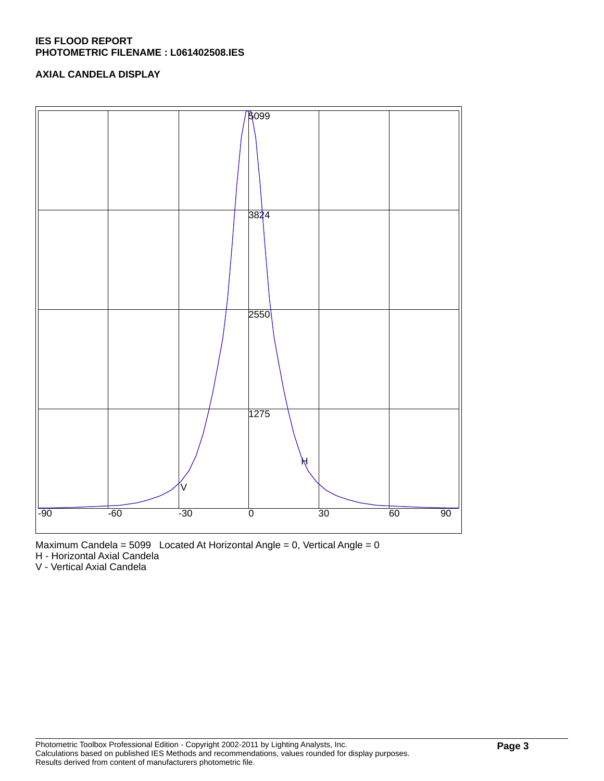## **IES FLOOD REPORT PHOTOMETRIC FILENAME : L061402508.IES**

## **AXIAL CANDELA DISPLAY**



Maximum Candela = 5099 Located At Horizontal Angle = 0, Vertical Angle = 0

H - Horizontal Axial Candela

V - Vertical Axial Candela